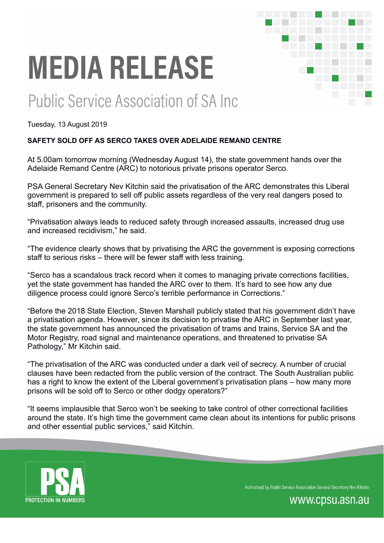# **MEDIA RELEASE**

# Public Service Association of SA Inc.

Tuesday, 13 August 2019

# **SAFETY SOLD OFF AS SERCO TAKES OVER ADELAIDE REMAND CENTRE**

At 5.00am tomorrow morning (Wednesday August 14), the state government hands over the Adelaide Remand Centre (ARC) to notorious private prisons operator Serco.

PSA General Secretary Nev Kitchin said the privatisation of the ARC demonstrates this Liberal government is prepared to sell off public assets regardless of the very real dangers posed to staff, prisoners and the community.

"Privatisation always leads to reduced safety through increased assaults, increased drug use and increased recidivism," he said.

"The evidence clearly shows that by privatising the ARC the government is exposing corrections staff to serious risks – there will be fewer staff with less training.

"Serco has a scandalous track record when it comes to managing private corrections facilities, yet the state government has handed the ARC over to them. It's hard to see how any due diligence process could ignore Serco's terrible performance in Corrections."

"Before the 2018 State Election, Steven Marshall publicly stated that his government didn't have a privatisation agenda. However, since its decision to privatise the ARC in September last year, the state government has announced the privatisation of trams and trains, Service SA and the Motor Registry, road signal and maintenance operations, and threatened to privatise SA Pathology," Mr Kitchin said.

"The privatisation of the ARC was conducted under a dark veil of secrecy. A number of crucial clauses have been redacted from the public version of the contract. The South Australian public has a right to know the extent of the Liberal government's privatisation plans – how many more prisons will be sold off to Serco or other dodgy operators?"

"It seems implausible that Serco won't be seeking to take control of other correctional facilities around the state. It's high time the government came clean about its intentions for public prisons and other essential public services," said Kitchin.



Authorised by Public Service Association General Secretary Nev Kitchin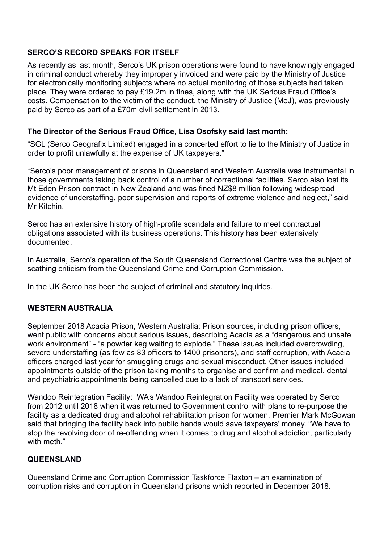# **SERCO'S RECORD SPEAKS FOR ITSELF**

As recently as last month, Serco's UK prison operations were found to have knowingly engaged in criminal conduct whereby they improperly invoiced and were paid by the Ministry of Justice for electronically monitoring subjects where no actual monitoring of those subjects had taken place. They were ordered to pay £19.2m in fines, along with the UK Serious Fraud Office's costs. Compensation to the victim of the conduct, the Ministry of Justice (MoJ), was previously paid by Serco as part of a £70m civil settlement in 2013.

#### **The Director of the Serious Fraud Office, Lisa Osofsky said last month:**

"SGL (Serco Geografix Limited) engaged in a concerted effort to lie to the Ministry of Justice in order to profit unlawfully at the expense of UK taxpayers."

"Serco's poor management of prisons in Queensland and Western Australia was instrumental in those governments taking back control of a number of correctional facilities. Serco also lost its Mt Eden Prison contract in New Zealand and was fined NZ\$8 million following widespread evidence of understaffing, poor supervision and reports of extreme violence and neglect," said Mr Kitchin.

Serco has an extensive history of high-profile scandals and failure to meet contractual obligations associated with its business operations. This history has been extensively documented.

In Australia, Serco's operation of the South Queensland Correctional Centre was the subject of scathing criticism from the Queensland Crime and Corruption Commission.

In the UK Serco has been the subject of criminal and statutory inquiries.

#### **WESTERN AUSTRALIA**

September 2018 Acacia Prison, Western Australia: Prison sources, including prison officers, went public with concerns about serious issues, describing Acacia as a "dangerous and unsafe work environment" - "a powder keg waiting to explode." These issues included overcrowding, severe understaffing (as few as 83 officers to 1400 prisoners), and staff corruption, with Acacia officers charged last year for smuggling drugs and sexual misconduct. Other issues included appointments outside of the prison taking months to organise and confirm and medical, dental and psychiatric appointments being cancelled due to a lack of transport services.

Wandoo Reintegration Facility: WA's Wandoo Reintegration Facility was operated by Serco from 2012 until 2018 when it was returned to Government control with plans to re-purpose the facility as a dedicated drug and alcohol rehabilitation prison for women. Premier Mark McGowan said that bringing the facility back into public hands would save taxpayers' money. "We have to stop the revolving door of re-offending when it comes to drug and alcohol addiction, particularly with meth"

#### **QUEENSLAND**

Queensland Crime and Corruption Commission Taskforce Flaxton – an examination of corruption risks and corruption in Queensland prisons which reported in December 2018.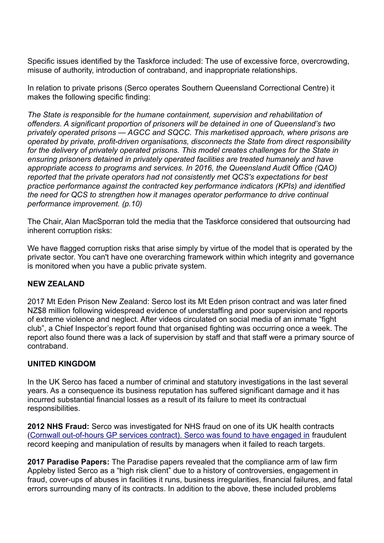Specific issues identified by the Taskforce included: The use of excessive force, overcrowding, misuse of authority, introduction of contraband, and inappropriate relationships.

In relation to private prisons (Serco operates Southern Queensland Correctional Centre) it makes the following specific finding:

*The State is responsible for the humane containment, supervision and rehabilitation of offenders. A significant proportion of prisoners will be detained in one of Queensland's two privately operated prisons — AGCC and SQCC. This marketised approach, where prisons are operated by private, profit-driven organisations, disconnects the State from direct responsibility for the delivery of privately operated prisons. This model creates challenges for the State in ensuring prisoners detained in privately operated facilities are treated humanely and have appropriate access to programs and services. In 2016, the Queensland Audit Office (QAO) reported that the private operators had not consistently met QCS's expectations for best practice performance against the contracted key performance indicators (KPIs) and identified the need for QCS to strengthen how it manages operator performance to drive continual performance improvement. (p.10)*

The Chair, Alan MacSporran told the media that the Taskforce considered that outsourcing had inherent corruption risks:

We have flagged corruption risks that arise simply by virtue of the model that is operated by the private sector. You can't have one overarching framework within which integrity and governance is monitored when you have a public private system.

# **NEW ZEALAND**

2017 Mt Eden Prison New Zealand: Serco lost its Mt Eden prison contract and was later fined NZ\$8 million following widespread evidence of understaffing and poor supervision and reports of extreme violence and neglect. After videos circulated on social media of an inmate "fight club", a Chief Inspector's report found that organised fighting was occurring once a week. The report also found there was a lack of supervision by staff and that staff were a primary source of contraband.

# **UNITED KINGDOM**

In the UK Serco has faced a number of criminal and statutory investigations in the last several years. As a consequence its business reputation has suffered significant damage and it has incurred substantial financial losses as a result of its failure to meet its contractual responsibilities.

**2012 NHS Fraud:** Serco was investigated for NHS fraud on one of its UK health contracts (Cornwall out-of-hours GP services contract). Serco was found to have engaged in fraudulent record keeping and manipulation of results by managers when it failed to reach targets.

**2017 Paradise Papers:** The Paradise papers revealed that the compliance arm of law firm Appleby listed Serco as a "high risk client" due to a history of controversies, engagement in fraud, cover-ups of abuses in facilities it runs, business irregularities, financial failures, and fatal errors surrounding many of its contracts. In addition to the above, these included problems